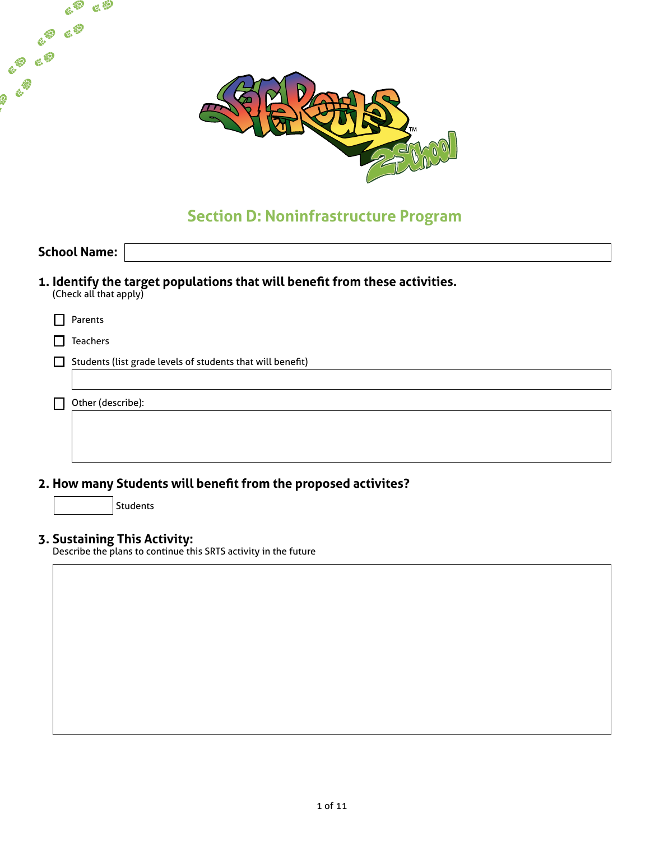

# **Section D: Noninfrastructure Program**

|                                                                | <b>School Name:</b>    |                                                                             |  |  |
|----------------------------------------------------------------|------------------------|-----------------------------------------------------------------------------|--|--|
|                                                                | (Check all that apply) | 1. Identify the target populations that will benefit from these activities. |  |  |
|                                                                | Parents                |                                                                             |  |  |
|                                                                | <b>Teachers</b>        |                                                                             |  |  |
|                                                                |                        | Students (list grade levels of students that will benefit)                  |  |  |
|                                                                |                        |                                                                             |  |  |
|                                                                | Other (describe):      |                                                                             |  |  |
|                                                                |                        |                                                                             |  |  |
|                                                                |                        |                                                                             |  |  |
|                                                                |                        |                                                                             |  |  |
| 2. How many Students will benefit from the proposed activites? |                        |                                                                             |  |  |
|                                                                |                        | Students                                                                    |  |  |

#### **3. Sustaining This Activity:**

 $e^{\varphi}$   $e^{\varphi}$ 

E. E.B.

ER EP

ER ER

Describe the plans to continue this SRTS activity in the future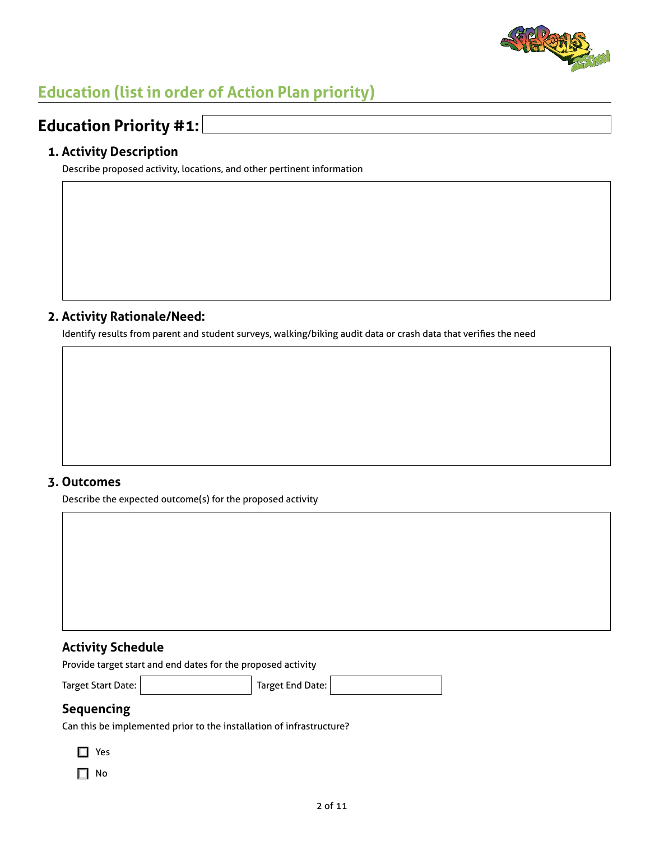

# **Education (list in order of Action Plan priority)**

## **Education Priority #1:**

#### **1. Activity Description**

Describe proposed activity, locations, and other pertinent information

#### **2. Activity Rationale/Need:**

Identify results from parent and student surveys, walking/biking audit data or crash data that verifies the need

#### **3. Outcomes**

Describe the expected outcome(s) for the proposed activity

#### **Activity Schedule**

Provide target start and end dates for the proposed activity

Target Start Date: Target End Date:

### **Sequencing**

Can this be implemented prior to the installation of infrastructure?

 $\Box$  Yes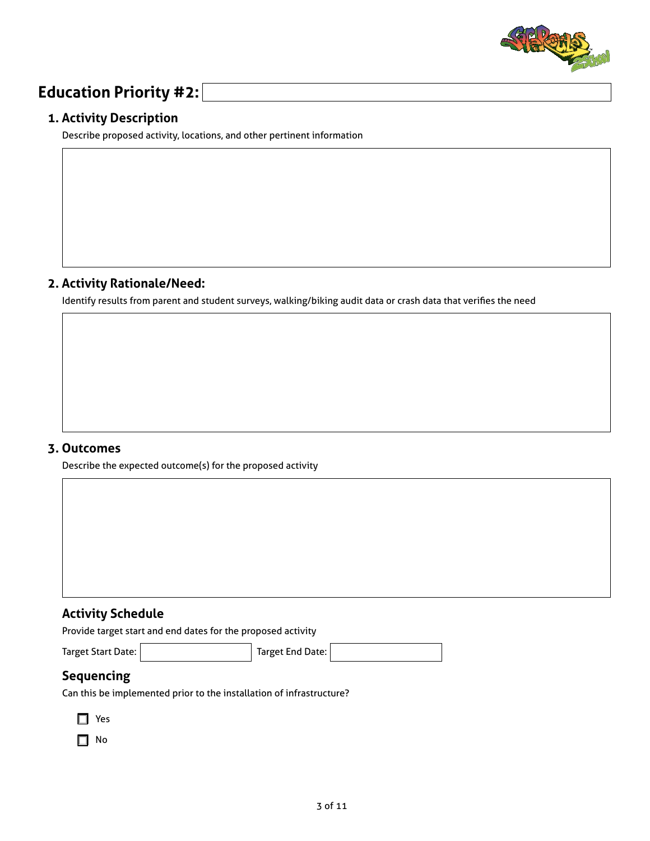

## **Education Priority #2:**

#### **1. Activity Description**

Describe proposed activity, locations, and other pertinent information

#### **2. Activity Rationale/Need:**

Identify results from parent and student surveys, walking/biking audit data or crash data that verifies the need

#### **3. Outcomes**

Describe the expected outcome(s) for the proposed activity

#### **Activity Schedule**

Provide target start and end dates for the proposed activity

Target Start Date: Target End Date:

## **Sequencing**

Can this be implemented prior to the installation of infrastructure?

| ×<br>×<br>۰,<br>× |
|-------------------|
|                   |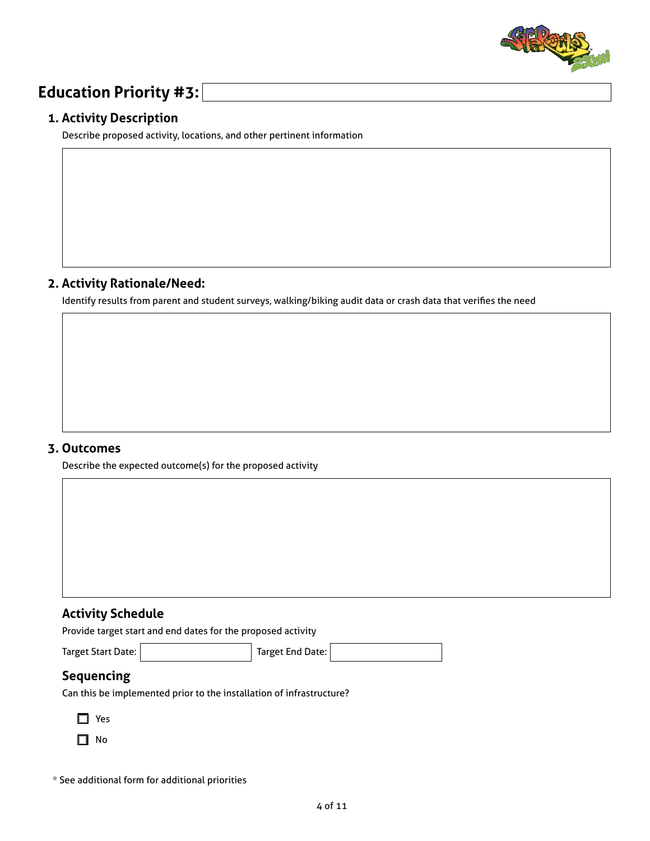

## **Education Priority #3:**

#### **1. Activity Description**

Describe proposed activity, locations, and other pertinent information

#### **2. Activity Rationale/Need:**

Identify results from parent and student surveys, walking/biking audit data or crash data that verifies the need

#### **3. Outcomes**

Describe the expected outcome(s) for the proposed activity

#### **Activity Schedule**

Provide target start and end dates for the proposed activity

Target Start Date: Target End Date:

## **Sequencing**

Can this be implemented prior to the installation of infrastructure?

- $\Box$  Yes
- $\Box$  No

\* See additional form for additional priorities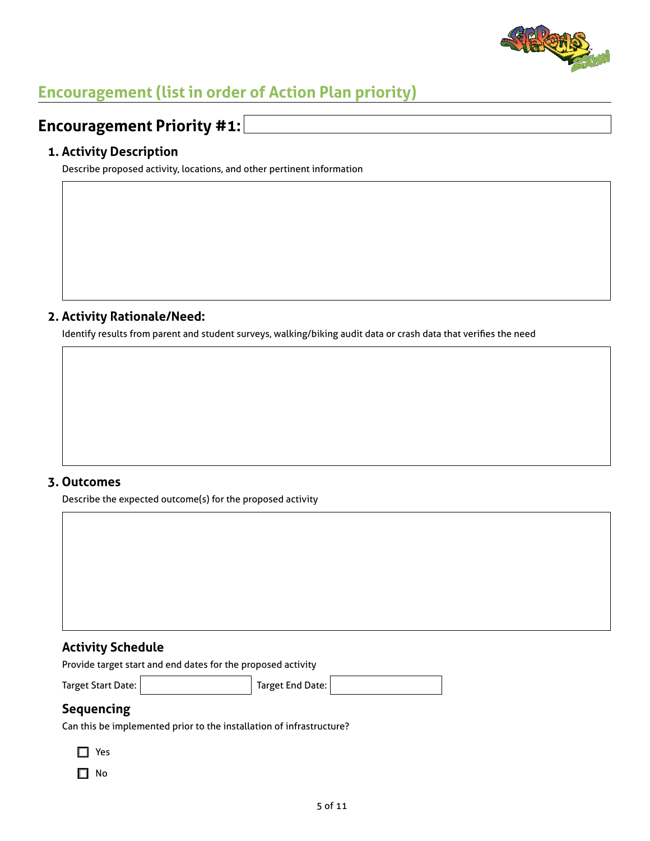

# **Encouragement (list in order of Action Plan priority)**

# **Encouragement Priority #1:**

#### **1. Activity Description**

Describe proposed activity, locations, and other pertinent information

#### **2. Activity Rationale/Need:**

Identify results from parent and student surveys, walking/biking audit data or crash data that verifies the need

#### **3. Outcomes**

Describe the expected outcome(s) for the proposed activity

#### **Activity Schedule**

Provide target start and end dates for the proposed activity

Target Start Date: Target End Date:

#### **Sequencing**

Can this be implemented prior to the installation of infrastructure?

 $\Box$  Yes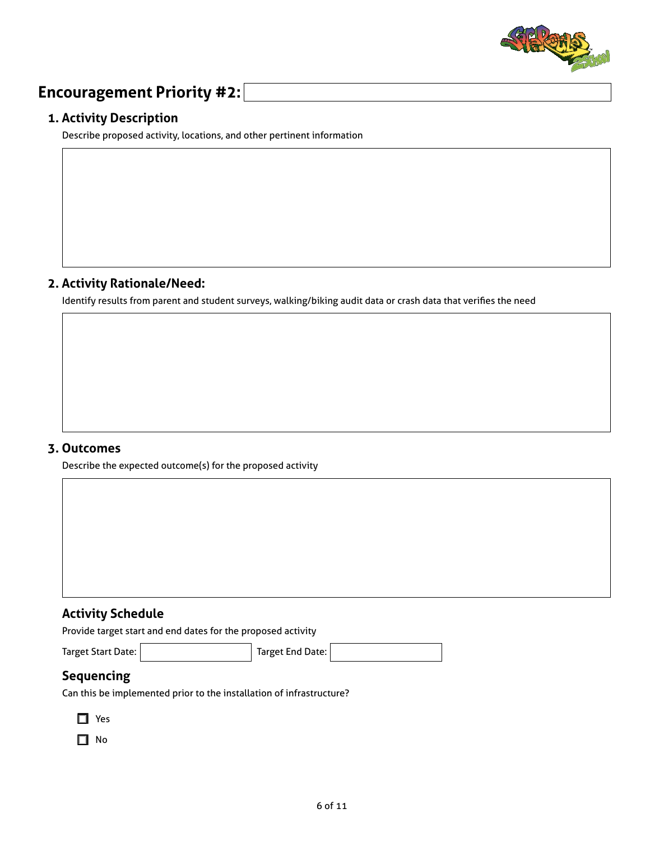

## **Encouragement Priority #2:**

#### **1. Activity Description**

Describe proposed activity, locations, and other pertinent information

#### **2. Activity Rationale/Need:**

Identify results from parent and student surveys, walking/biking audit data or crash data that verifies the need

#### **3. Outcomes**

Describe the expected outcome(s) for the proposed activity

#### **Activity Schedule**

Provide target start and end dates for the proposed activity

Target Start Date: Target End Date:

#### **Sequencing**

Can this be implemented prior to the installation of infrastructure?

- $\Box$  Yes
- $\Box$  No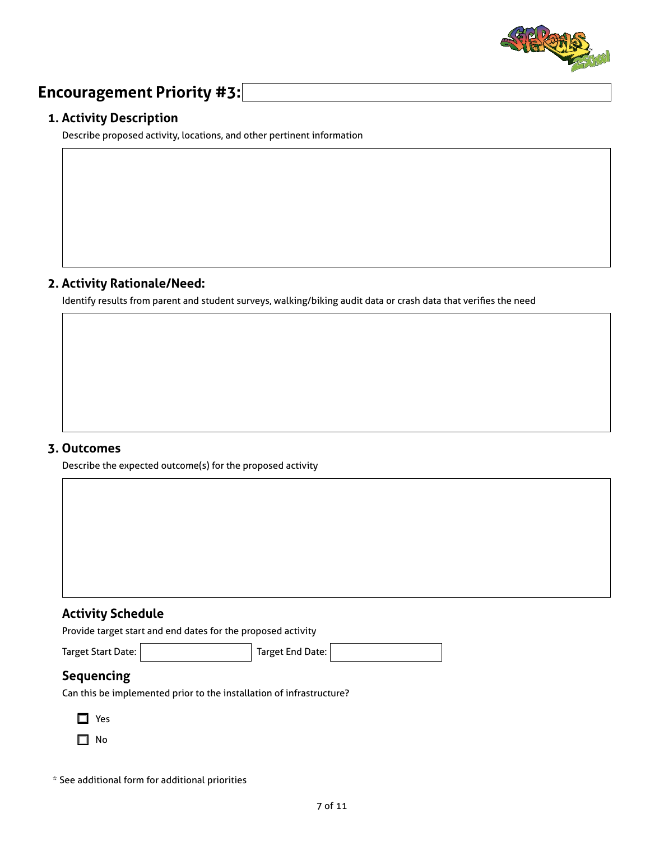

## **Encouragement Priority #3:**

#### **1. Activity Description**

Describe proposed activity, locations, and other pertinent information

#### **2. Activity Rationale/Need:**

Identify results from parent and student surveys, walking/biking audit data or crash data that verifies the need

#### **3. Outcomes**

Describe the expected outcome(s) for the proposed activity

#### **Activity Schedule**

Provide target start and end dates for the proposed activity

Target Start Date: Target End Date:

#### **Sequencing**

Can this be implemented prior to the installation of infrastructure?

| ×<br>×<br>۰,<br>× |
|-------------------|
|-------------------|

 $\Box$  No

\* See additional form for additional priorities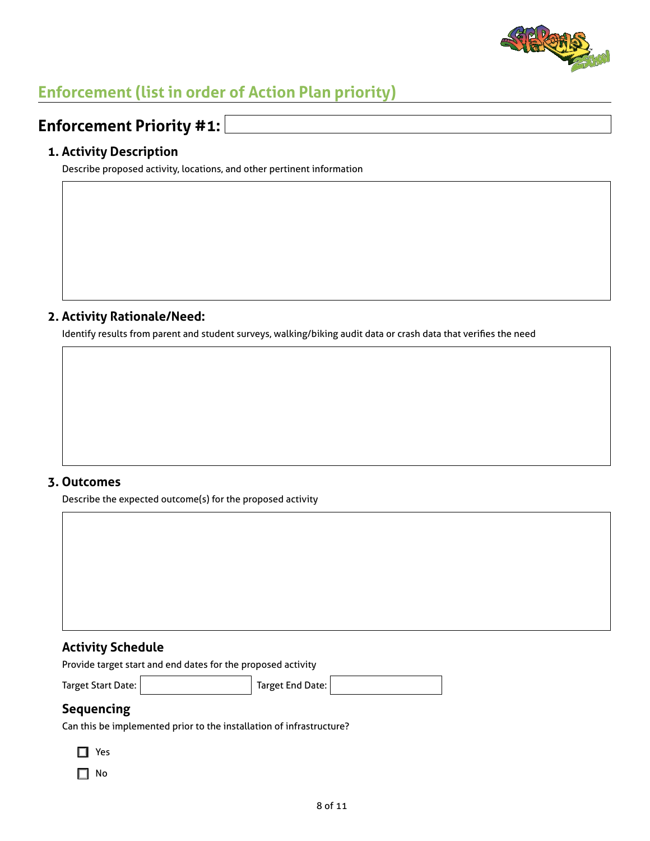

# **Enforcement (list in order of Action Plan priority)**

## **Enforcement Priority #1:**

#### **1. Activity Description**

Describe proposed activity, locations, and other pertinent information

#### **2. Activity Rationale/Need:**

Identify results from parent and student surveys, walking/biking audit data or crash data that verifies the need

#### **3. Outcomes**

Describe the expected outcome(s) for the proposed activity

#### **Activity Schedule**

Provide target start and end dates for the proposed activity

Target Start Date: Target End Date:

### **Sequencing**

Can this be implemented prior to the installation of infrastructure?

 $\Box$  Yes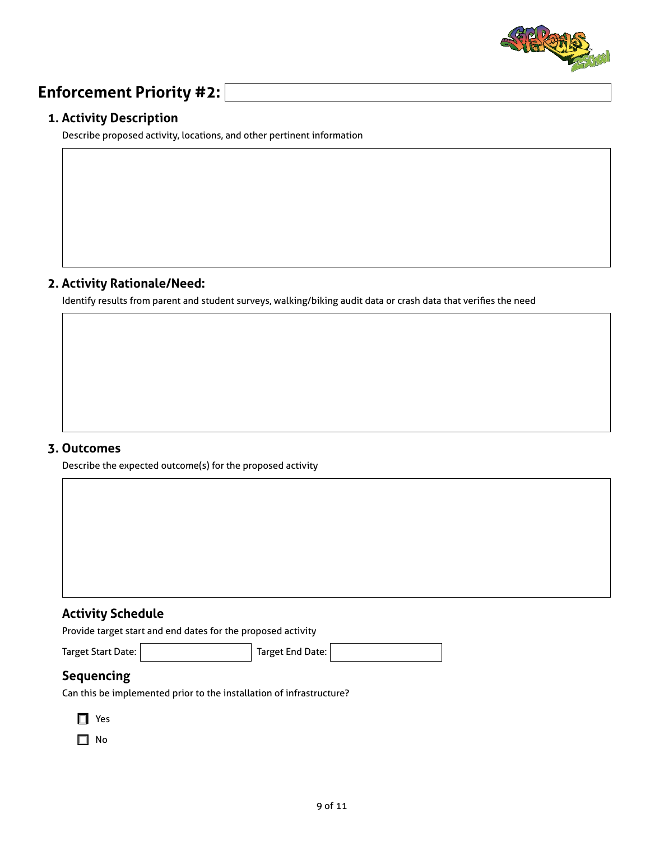

## **Enforcement Priority #2:**

#### **1. Activity Description**

Describe proposed activity, locations, and other pertinent information

#### **2. Activity Rationale/Need:**

Identify results from parent and student surveys, walking/biking audit data or crash data that verifies the need

#### **3. Outcomes**

Describe the expected outcome(s) for the proposed activity

#### **Activity Schedule**

Provide target start and end dates for the proposed activity

Target Start Date: Target End Date:

## **Sequencing**

Can this be implemented prior to the installation of infrastructure?

| ×<br>×<br>۰,<br>M.<br>v |
|-------------------------|
|-------------------------|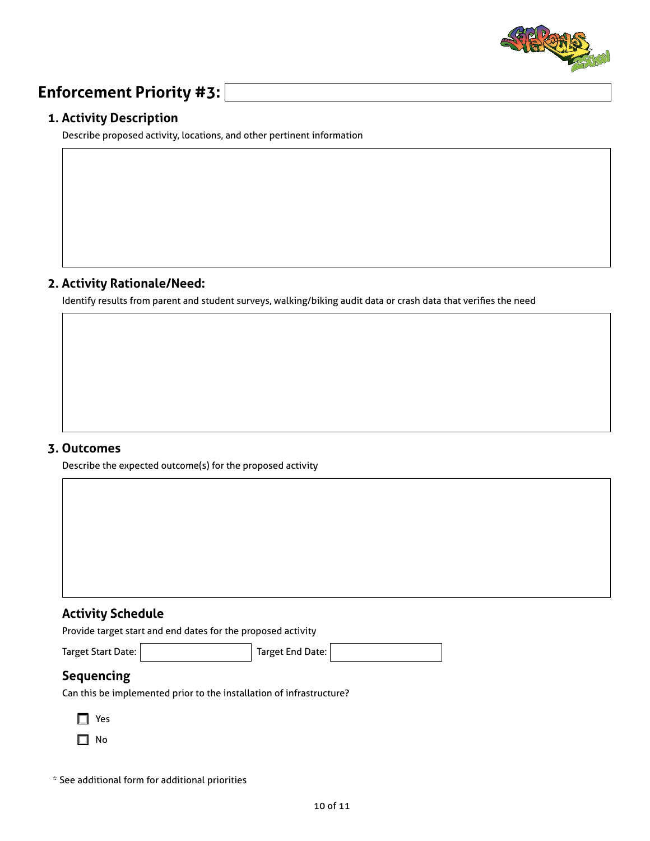

## **Enforcement Priority #3:**

#### **1. Activity Description**

Describe proposed activity, locations, and other pertinent information

#### **2. Activity Rationale/Need:**

Identify results from parent and student surveys, walking/biking audit data or crash data that verifies the need

#### **3. Outcomes**

Describe the expected outcome(s) for the proposed activity

#### **Activity Schedule**

Provide target start and end dates for the proposed activity

Target Start Date: Target End Date:

## **Sequencing**

Can this be implemented prior to the installation of infrastructure?

| ×.<br>×<br>v<br>M.<br>۰, |
|--------------------------|
|--------------------------|

 $\Box$  No

\* See additional form for additional priorities